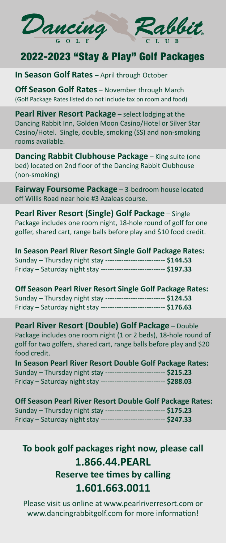

# 2022-2023 "Stay & Play" Golf Packages

**In Season Golf Rates - April through October** 

**Off Season Golf Rates** – November through March (Golf Package Rates listed do not include tax on room and food)

**Pearl River Resort Package** – select lodging at the Dancing Rabbit Inn, Golden Moon Casino/Hotel or Silver Star Casino/Hotel. Single, double, smoking (SS) and non-smoking rooms available.

**Dancing Rabbit Clubhouse Package** – King suite (one bed) located on 2nd floor of the Dancing Rabbit Clubhouse (non-smoking)

**Fairway Foursome Package** – 3-bedroom house located off Willis Road near hole #3 Azaleas course.

**Pearl River Resort (Single) Golf Package** – Single Package includes one room night, 18-hole round of golf for one golfer, shared cart, range balls before play and \$10 food credit.

| In Season Pearl River Resort Single Golf Package Rates: |             |
|---------------------------------------------------------|-------------|
| Sunday - Thursday night stay ---------                  | -- \$144.53 |
| Friday – Saturday night stay -                          | - \$197.33  |

**Off Season Pearl River Resort Single Golf Package Rates:** Sunday – Thursday night stay -------------------------- **\$124.53** Friday – Saturday night stay ---------------------------- **\$176.63**

**Pearl River Resort (Double) Golf Package** – Double Package includes one room night (1 or 2 beds), 18-hole round of golf for two golfers, shared cart, range balls before play and \$20 food credit.

| In Season Pearl River Resort Double Golf Package Rates: |             |
|---------------------------------------------------------|-------------|
| Sunday – Thursday night stay ---------                  | -- \$215.23 |
| Friday – Saturday night stay ---                        | - \$288.03  |

| Off Season Pearl River Resort Double Golf Package Rates:                |             |
|-------------------------------------------------------------------------|-------------|
| Sunday – Thursday night stay -------------------------- <b>\$175.23</b> |             |
| Friday – Saturday night stay ---                                        | -- \$247.33 |

# **To book golf packages right now, please call 1.866.44.PEARL Reserve tee times by calling 1.601.663.0011**

Please visit us online at www.pearlriverresort.com or www.dancingrabbitgolf.com for more information!